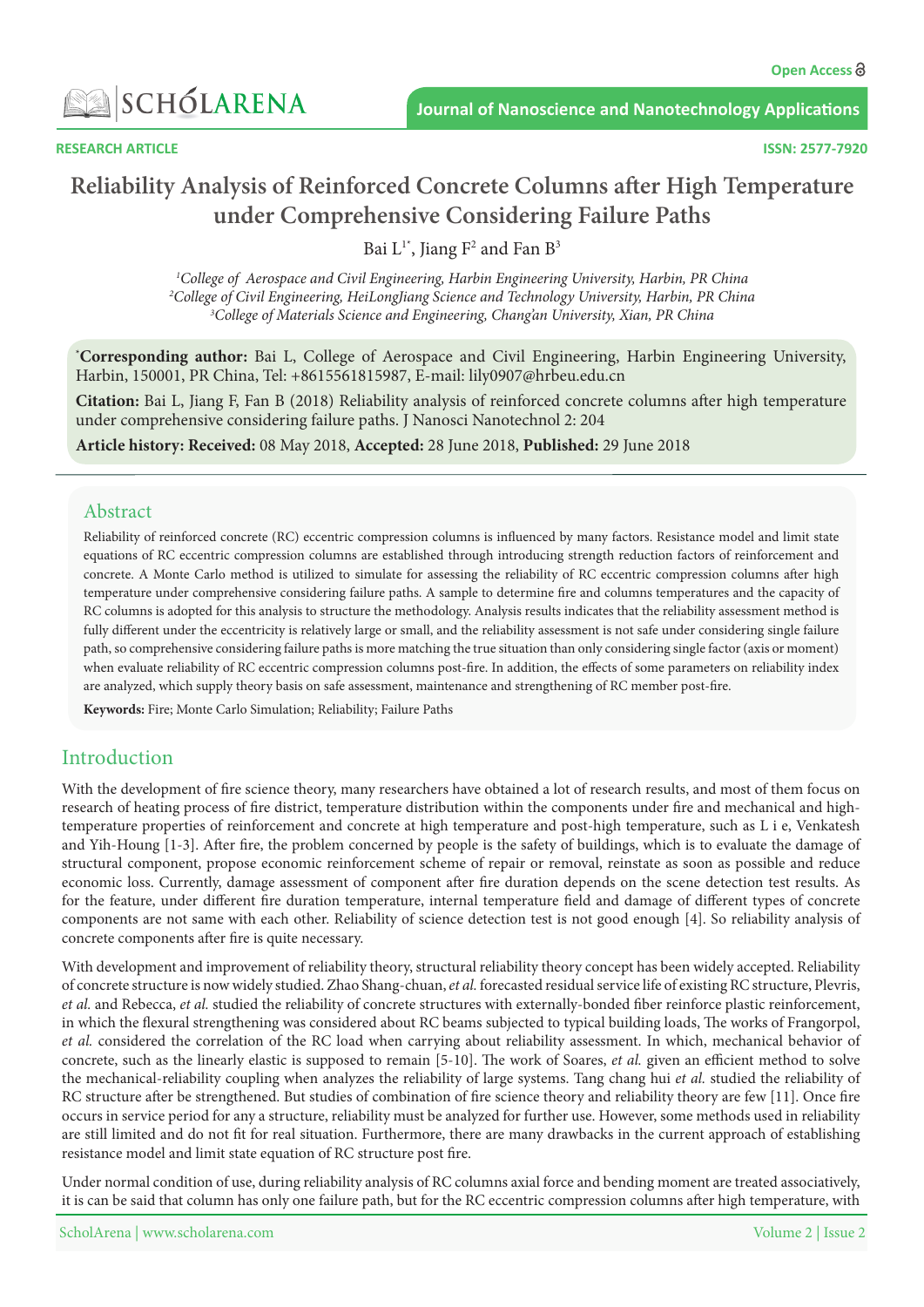

**RESEARCH ARTICLE** 

# **Reliability Analysis of Reinforced Concrete Columns after High Temperature under Comprehensive Considering Failure Paths**

Bai  $L^{1*}$ , Jiang F<sup>2</sup> and Fan B<sup>3</sup>

<sup>1</sup>College of Aerospace and Civil Engineering, Harbin Engineering University, Harbin, PR China <sup>2</sup>College of Civil Engineering, HeiLongJiang Science and Technology University, Harbin, PR China<br><sup>3</sup>College of Materials Science and Engineering Chang'an University, Xian, PR China <sup>3</sup>College of Materials Science and Engineering, Chang'an University, Xian, PR China

<sup>\*</sup>Corresponding author: Bai L, College of Aerospace and Civil Engineering, Harbin Engineering University, Harbin, 150001, PR China, Tel: +8615561815987, E-mail: lily0907@hrbeu.edu.cn

**Citation:** Bai L, Jiang F, Fan B (2018) Reliability analysis of reinforced concrete columns after high temperature under comprehensive considering failure paths. J Nanosci Nanotechnol 2: 204

Article history: Received: 08 May 2018, Accepted: 28 June 2018, Published: 29 June 2018

### Abstract

Reliability of reinforced concrete (RC) eccentric compression columns is influenced by many factors. Resistance model and limit state equations of RC eccentric compression columns are established through introducing strength reduction factors of reinforcement and concrete. A Monte Carlo method is utilized to simulate for assessing the reliability of RC eccentric compression columns after high temperature under comprehensive considering failure paths. A sample to determine fire and columns temperatures and the capacity of RC columns is adopted for this analysis to structure the methodology. Analysis results indicates that the reliability assessment method is fully different under the eccentricity is relatively large or small, and the reliability assessment is not safe under considering single failure path, so comprehensive considering failure paths is more matching the true situation than only considering single factor (axis or moment) when evaluate reliability of RC eccentric compression columns post-fire. In addition, the effects of some parameters on reliability index are analyzed, which supply theory basis on safe assessment, maintenance and strengthening of RC member post-fire.

Keywords: Fire; Monte Carlo Simulation; Reliability; Failure Paths

# Introduction

With the development of fire science theory, many researchers have obtained a lot of research results, and most of them focus on temperature properties of reinforcement and concrete at high-temperature and post-high temperature, such as L i e, Venkatesh research of heating process of fire district, temperature distribution within the components under fire and mechanical and highand Yih-Houng [1-3]. After fire, the problem concerned by people is the safety of buildings, which is to evaluate the damage of structural component, propose economic reinforcement scheme of repair or removal, reinstate as soon as possible and reduce economic loss. Currently, damage assessment of component after fire duration depends on the scene detection test results. As for the feature, under different fire duration temperature, internal temperature field and damage of different types of concrete components are not same with each other. Reliability of science detection test is not good enough [4]. So reliability analysis of concrete components after fire is quite necessary.

With development and improvement of reliability theory, structural reliability theory concept has been widely accepted. Reliability of concrete structure is now widely studied. Zhao Shang-chuan, et al. forecasted residual service life of existing RC structure, Plevris, et al. and Rebecca, et al. studied the reliability of concrete structures with externally-bonded fiber reinforce plastic reinforcement, in which the flexural strengthening was considered about RC beams subjected to typical building loads, The works of Frangorpol, et al. considered the correlation of the RC load when carrying about reliability assessment. In which, mechanical behavior of concrete, such as the linearly elastic is supposed to remain [5-10]. The work of Soares, et al. given an efficient method to solve the mechanical-reliability coupling when analyzes the reliability of large systems. Tang chang hui et al. studied the reliability of RC structure after be strengthened. But studies of combination of fire science theory and reliability theory are few [11]. Once fire occurs in service period for any a structure, reliability must be analyzed for further use. However, some methods used in reliability are still limited and do not fit for real situation. Furthermore, there are many drawbacks in the current approach of establishing resistance model and limit state equation of RC structure post fire.

Under normal condition of use, during reliability analysis of RC columns axial force and bending moment are treated associatively, it is can be said that column has only one failure path, but for the RC eccentric compression columns after high temperature, with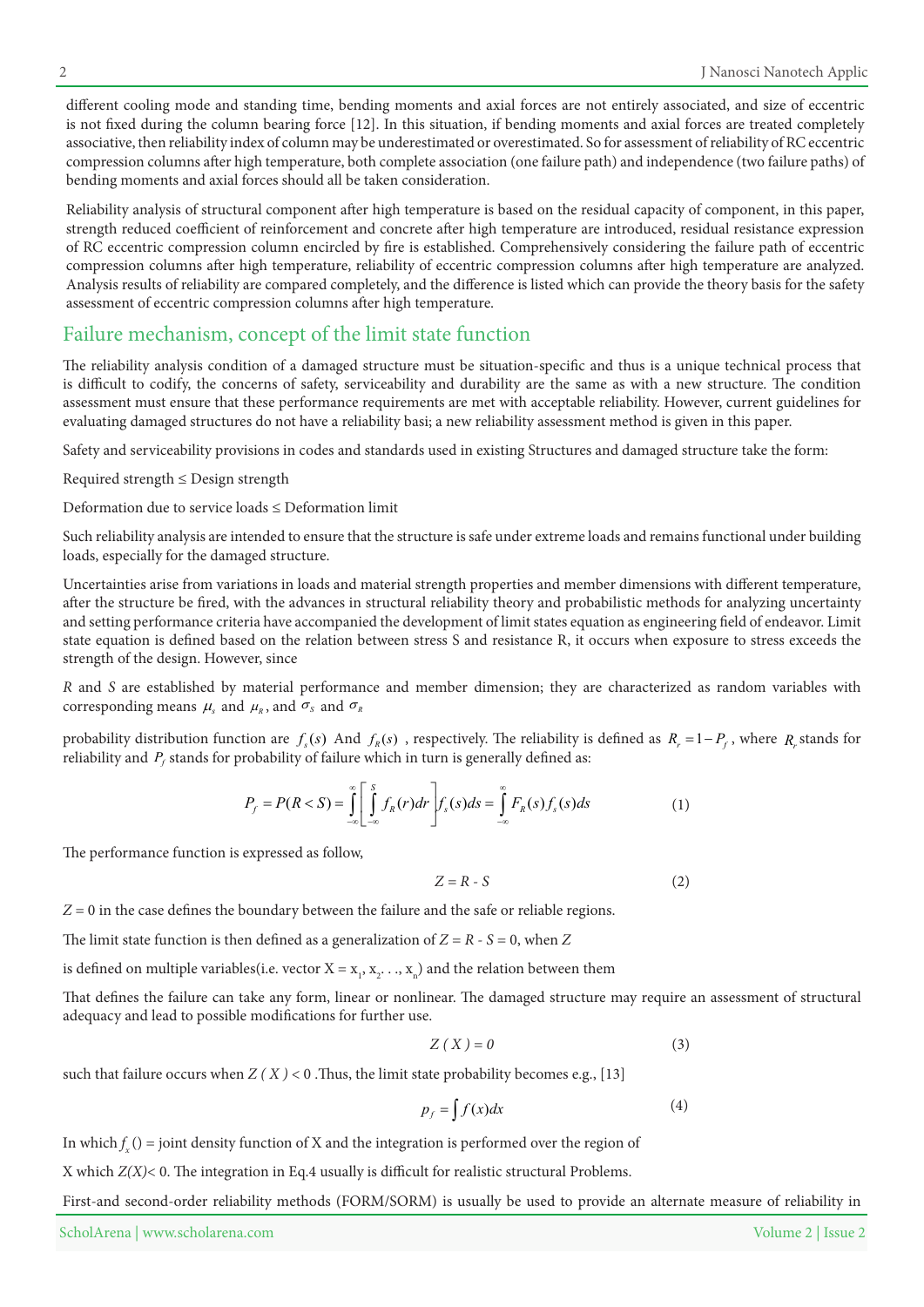different cooling mode and standing time, bending moments and axial forces are not entirely associated, and size of eccentric is not fixed during the column bearing force [12]. In this situation, if bending moments and axial forces are treated completely associative, then reliability index of column may be underestimated or overestimated. So for assessment of reliability of RC eccentric compression columns after high temperature, both complete association (one failure path) and independence (two failure paths) of bending moments and axial forces should all be taken consideration.

Reliability analysis of structural component after high temperature is based on the residual capacity of component, in this paper, strength reduced coefficient of reinforcement and concrete after high temperature are introduced, residual resistance expression of RC eccentric compression column encircled by fire is established. Comprehensively considering the failure path of eccentric compression columns after high temperature, reliability of eccentric compression columns after high temperature are analyzed. Analysis results of reliability are compared completely, and the difference is listed which can provide the theory basis for the safety assessment of eccentric compression columns after high temperature.

# Failure mechanism, concept of the limit state function

The reliability analysis condition of a damaged structure must be situation-specific and thus is a unique technical process that is difficult to codify, the concerns of safety, serviceability and durability are the same as with a new structure. The condition assessment must ensure that these performance requirements are met with acceptable reliability. However, current guidelines for evaluating damaged structures do not have a reliability basi; a new reliability assessment method is given in this paper.

Safety and serviceability provisions in codes and standards used in existing Structures and damaged structure take the form:

Required strength  $\leq$  Design strength

Deformation due to service loads  $\leq$  Deformation limit

Such reliability analysis are intended to ensure that the structure is safe under extreme loads and remains functional under building loads, especially for the damaged structure.

Uncertainties arise from variations in loads and material strength properties and member dimensions with different temperature, after the structure be fired, with the advances in structural reliability theory and probabilistic methods for analyzing uncertainty and setting performance criteria have accompanied the development of limit states equation as engineering field of endeavor. Limit state equation is defined based on the relation between stress S and resistance R, it occurs when exposure to stress exceeds the strength of the design. However, since

R and S are established by material performance and member dimension; they are characterized as random variables with corresponding means  $\mu_s$  and  $\mu_R$ , and  $\sigma_s$  and  $\sigma_R$ 

probability distribution function are  $f_s(s)$  And  $f_R(s)$ , respectively. The reliability is defined as  $R_r = 1 - P_f$ , where  $R_r$  stands for reliability and  $P_f$  stands for probability of failure which in turn is generally defined as:

$$
P_f = P(R < S) = \int_{-\infty}^{\infty} \left[ \int_{-\infty}^{S} f_R(r) dr \right] f_s(s) ds = \int_{-\infty}^{\infty} F_R(s) f_s(s) ds \tag{1}
$$

The performance function is expressed as follow,

$$
Z = R - S \tag{2}
$$

 $Z = 0$  in the case defines the boundary between the failure and the safe or reliable regions.

The limit state function is then defined as a generalization of  $Z = R - S = 0$ , when Z

is defined on multiple variables(i.e. vector  $X = x_1, x_2, \ldots, x_n$ ) and the relation between them

That defines the failure can take any form, linear or nonlinear. The damaged structure may require an assessment of structural adequacy and lead to possible modifications for further use.

$$
Z(X) = 0 \tag{3}
$$

such that failure occurs when  $Z(X) < 0$ . Thus, the limit state probability becomes e.g., [13]

$$
p_f = \int f(x)dx\tag{4}
$$

In which  $f_x()$  = *joint density function of X and the integration is performed over the region of* 

X which  $Z(X)$  < 0. The integration in Eq.4 usually is difficult for realistic structural Problems.

First-and second-order reliability methods (FORM/SORM) is usually be used to provide an alternate measure of reliability in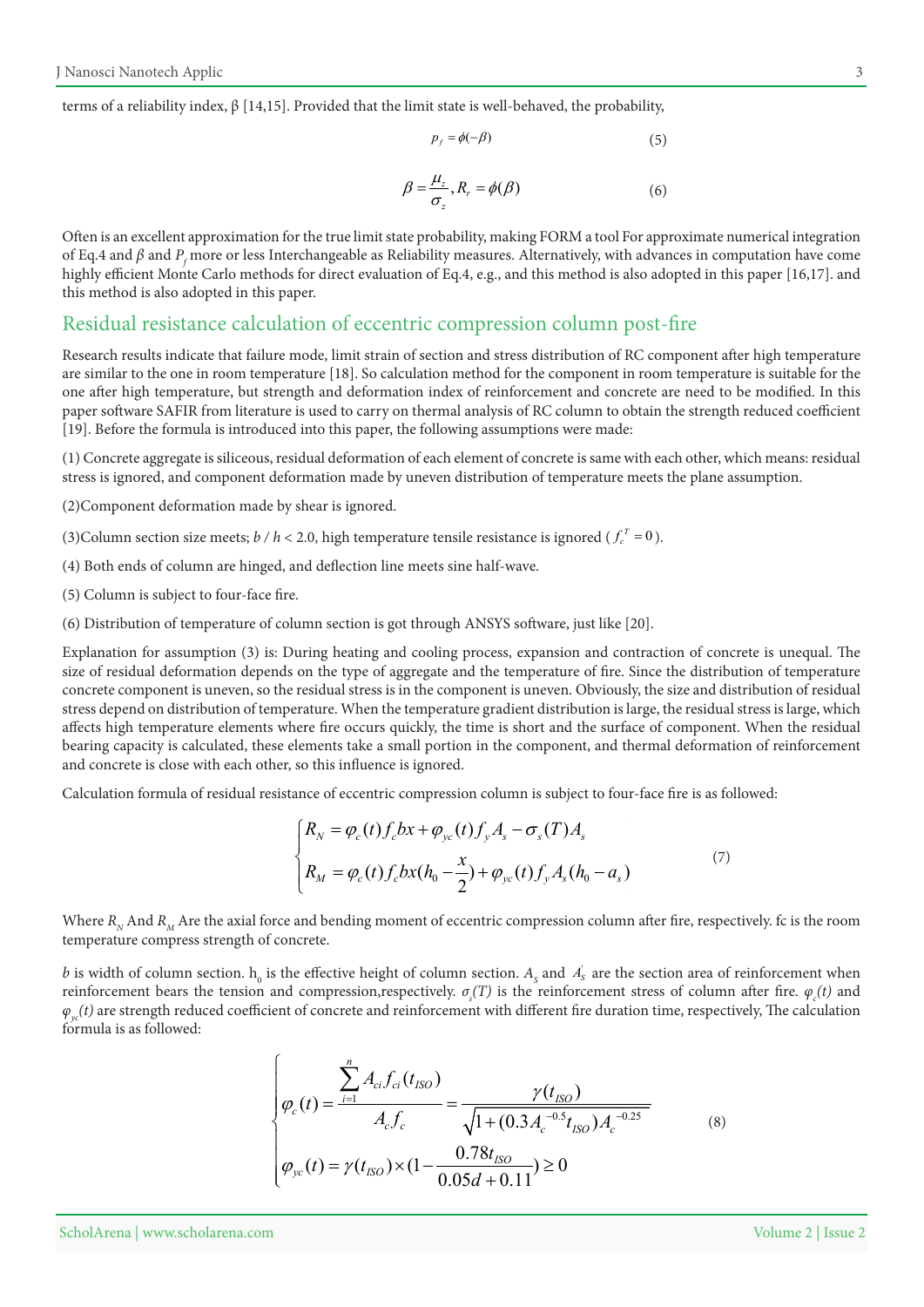terms of a reliability index,  $\beta$  [14,15]. Provided that the limit state is well-behaved, the probability,

$$
p_f = \phi(-\beta) \tag{5}
$$

$$
\beta = \frac{\mu_z}{\sigma_z}, R_r = \phi(\beta) \tag{6}
$$

Often is an excellent approximation for the true limit state probability, making FORM a tool For approximate numerical integration of Eq.4 and  $\beta$  and  $P_f$  more or less Interchangeable as Reliability measures. Alternatively, with advances in computation have come highly efficient Monte Carlo methods for direct evaluation of Eq.4, e.g., and this method is also adopted in this paper [16,17]. and this method is also adopted in this paper.

### Residual resistance calculation of eccentric compression column post-fire

Research results indicate that failure mode, limit strain of section and stress distribution of RC component after high temperature are similar to the one in room temperature [18]. So calculation method for the component in room temperature is suitable for the one after high temperature, but strength and deformation index of reinforcement and concrete are need to be modified. In this paper software SAFIR from literature is used to carry on thermal analysis of RC column to obtain the strength reduced coefficient [19]. Before the formula is introduced into this paper, the following assumptions were made:

(1) Concrete aggregate is siliceous, residual deformation of each element of concrete is same with each other, which means: residual stress is ignored, and component deformation made by uneven distribution of temperature meets the plane assumption.

(2) Component deformation made by shear is ignored.

- (3) Column section size meets;  $b / h < 2.0$ , high temperature tensile resistance is ignored ( $f_c^T = 0$ ).
- (4) Both ends of column are hinged, and deflection line meets sine half-wave.
- $(5)$  Column is subject to four-face fire.
- $(6)$  Distribution of temperature of column section is got through ANSYS software, just like [20].

Explanation for assumption (3) is: During heating and cooling process, expansion and contraction of concrete is unequal. The size of residual deformation depends on the type of aggregate and the temperature of fire. Since the distribution of temperature concrete component is uneven, so the residual stress is in the component is uneven. Obviously, the size and distribution of residual stress depend on distribution of temperature. When the temperature gradient distribution is large, the residual stress is large, which affects high temperature elements where fire occurs quickly, the time is short and the surface of component. When the residual bearing capacity is calculated, these elements take a small portion in the component, and thermal deformation of reinforcement and concrete is close with each other, so this influence is ignored.

Calculation formula of residual resistance of eccentric compression column is subject to four-face fire is as followed:

$$
\begin{cases}\nR_N = \varphi_c(t) f_c b x + \varphi_{yc}(t) f_y A_s - \sigma_s(T) A_s \\
R_M = \varphi_c(t) f_c b x (h_0 - \frac{x}{2}) + \varphi_{yc}(t) f_y A_s (h_0 - a_s)\n\end{cases}
$$
\n(7)

Where  $R_N$  And  $R_M$  Are the axial force and bending moment of eccentric compression column after fire, respectively. fc is the room temperature compress strength of concrete.

*b* is width of column section.  $h_0$  is the effective height of column section.  $A_s$  and  $A_s$  are the section area of reinforcement when *reinforcement bears the tension and compression, respectively.*  $\sigma_s(T)$  *is the reinforcement stress of column after fire.*  $\varphi_c(t)$  *and*  $\varphi_{\omega}(t)$  are strength reduced coefficient of concrete and reinforcement with different fire duration time, respectively, The calculation formula is as followed:

$$
\varphi_c(t) = \frac{\sum_{i=1}^{n} A_{ci} f_{ci}(t_{ISO})}{A_c f_c} = \frac{\gamma(t_{ISO})}{\sqrt{1 + (0.3 A_c^{-0.5} t_{ISO}) A_c^{-0.25}}}
$$
\n
$$
\varphi_{yc}(t) = \gamma(t_{ISO}) \times (1 - \frac{0.78t_{ISO}}{0.05d + 0.11}) \ge 0
$$
\n(8)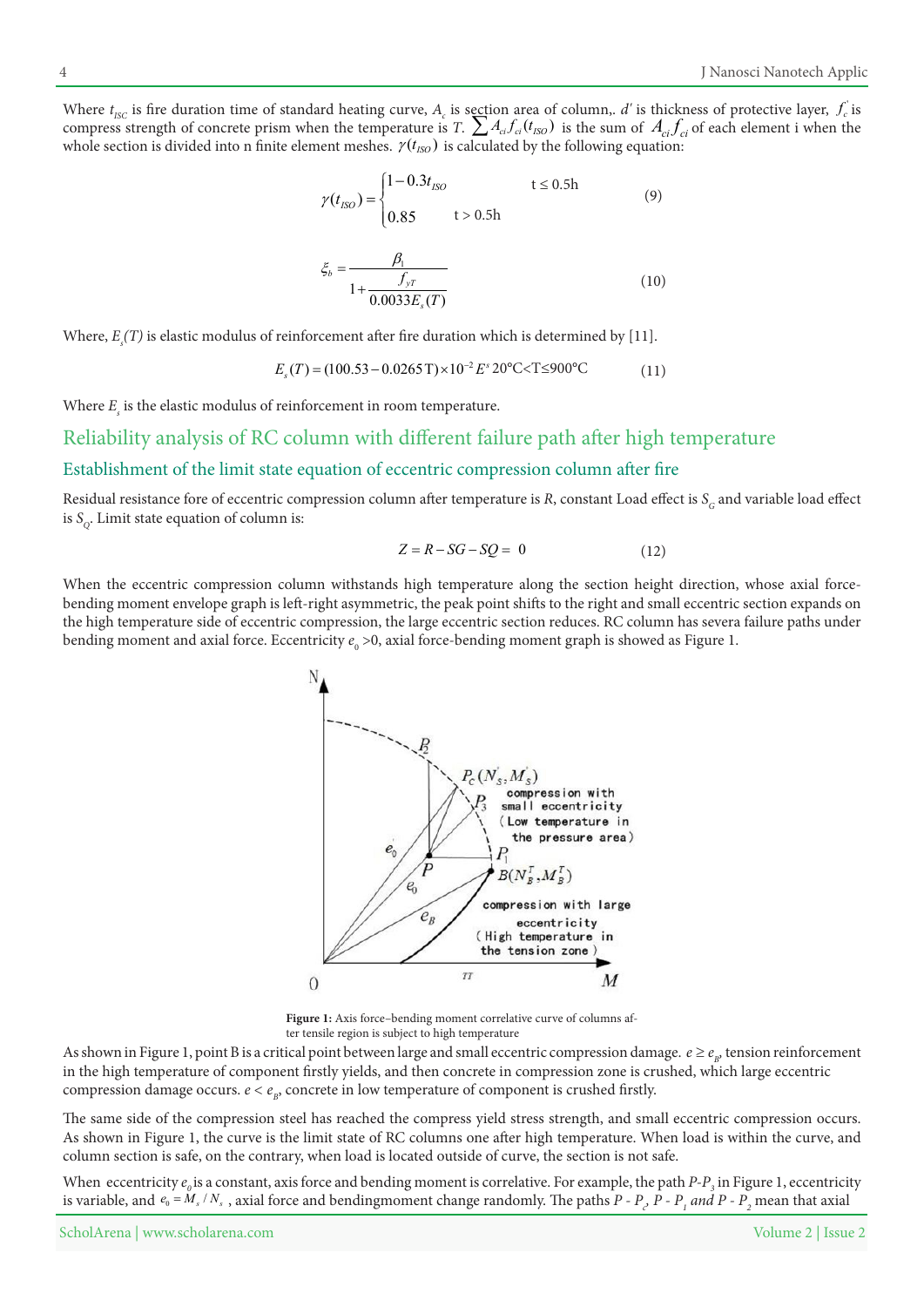Where  $t_{\text{ISC}}$  is fire duration time of standard heating curve,  $A_c$  is section area of column,. d' is thickness of protective layer,  $f_c$  is compress strength of concrete prism when the temperature is *T*.  $\sum A_{ci} f_{ci}(t_{ISO})$  is the sum of  $A_{ci} f_{ci}$  of each element i when the whole section is divided into n finite element meshes.  $γ(t_{IBO})$  is calculated by the following equation:

$$
\gamma(t_{ISO}) = \begin{cases} 1 - 0.3t_{ISO} & t \le 0.5h \\ 0.85 & t > 0.5h \end{cases}
$$
(9)

$$
\xi_b = \frac{\beta_1}{1 + \frac{f_{yT}}{0.0033 E_s(T)}}
$$
(10)

Where,  $E_{\text{s}}(T)$  is elastic modulus of reinforcement after fire duration which is determined by [11].

$$
E_s(T) = (100.53 - 0.0265 \text{ T}) \times 10^{-2} E^s 20^{\circ} \text{C} \times \text{T} \le 900^{\circ} \text{C}
$$
 (11)

Where  $E<sub>s</sub>$  is the elastic modulus of reinforcement in room temperature.

# Reliability analysis of RC column with different failure path after high temperature

### Establishment of the limit state equation of eccentric compression column after fire

Residual resistance fore of eccentric compression column after temperature is R, constant Load effect is S<sub>c</sub> and variable load effect is  $S_{\alpha}$ . Limit state equation of column is:

$$
Z = R - SG - SQ = 0 \tag{12}
$$

bending moment envelope graph is left-right asymmetric, the peak point shifts to the right and small eccentric section expands on When the eccentric compression column withstands high temperature along the section height direction, whose axial forcethe high temperature side of eccentric compression, the large eccentric section reduces. RC column has severa failure paths under bending moment and axial force. Eccentricity  $e_{_0}$  >0, axial force-bending moment graph is showed as Figure 1.



**Figure 1:** Axis force–bending moment correlative curve of columns af-<br>ter tensile region is subject to high temperature

As shown in Figure 1, point B is a critical point between large and small eccentric compression damage.  $e \geq e_{_{B'}}$  tension reinforcement in the high temperature of component firstly yields, and then concrete in compression zone is crushed, which large eccentric compression damage occurs.  $e < e_n$ , concrete in low temperature of component is crushed firstly.

The same side of the compression steel has reached the compress yield stress strength, and small eccentric compression occurs. As shown in Figure 1, the curve is the limit state of RC columns one after high temperature. When load is within the curve, and column section is safe, on the contrary, when load is located outside of curve, the section is not safe.

When eccentricity  $e_o$  is a constant, axis force and bending moment is correlative. For example, the path  $P\text{-}P_{\text{-}j}$  in Figure 1, eccentricity is variable, and  $e_0 = M_s / N_s$ , axial force and bendingmoment change randomly. The paths  $P$  -  $P_s$ ,  $P$  -  $P_t$  and  $P$  -  $P_s$  mean that axial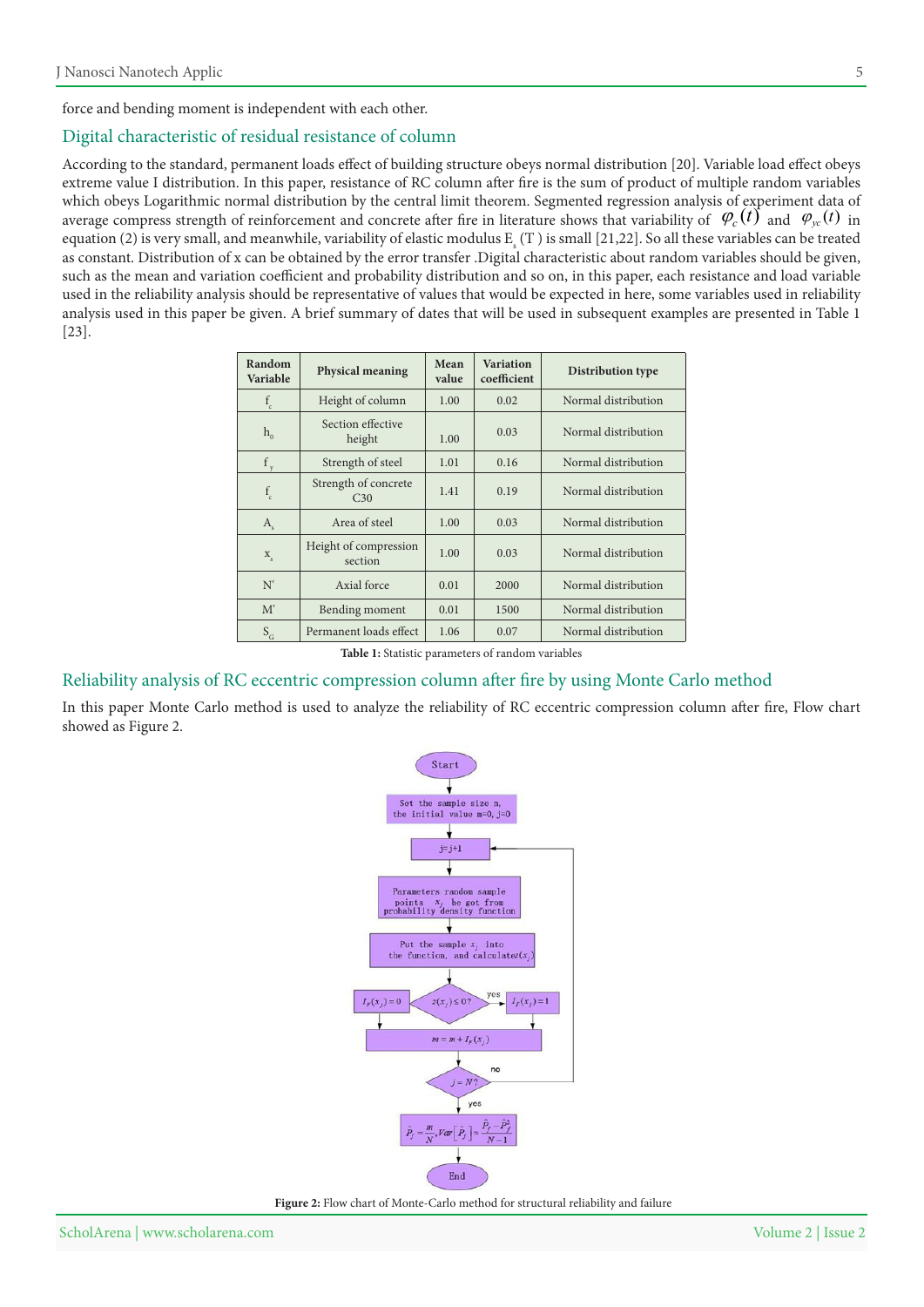force and bending moment is independent with each other.

#### Digital characteristic of residual resistance of column

According to the standard, permanent loads effect of building structure obeys normal distribution [20]. Variable load effect obeys extreme value I distribution. In this paper, resistance of RC column after fire is the sum of product of multiple random variables which obeys Logarithmic normal distribution by the central limit theorem. Segmented regression analysis of experiment data of average compress strength of reinforcement and concrete after fire in literature shows that variability of  $\varphi_c(t)$  and  $\varphi_{vc}(t)$  in equation (2) is very small, and meanwhile, variability of elastic modulus  $E_s(T)$  is small [21,22]. So all these variables can be treated as constant. Distribution of x can be obtained by the error transfer .Digital characteristic about random variables should be given, such as the mean and variation coefficient and probability distribution and so on, in this paper, each resistance and load variable used in the reliability analysis should be representative of values that would be expected in here, some variables used in reliability analysis used in this paper be given. A brief summary of dates that will be used in subsequent examples are presented in Table 1  $\overline{[23]}$ .

| Random<br>Variable | <b>Physical meaning</b>                 | Mean<br>value | <b>Variation</b><br>coefficient | Distribution type                          |  |
|--------------------|-----------------------------------------|---------------|---------------------------------|--------------------------------------------|--|
| $f_c$              | Height of column                        | 1.00          | 0.02                            | Normal distribution                        |  |
| $h_{0}$            | Section effective<br>height             | 1.00          | 0.03                            | Normal distribution                        |  |
| f                  | Strength of steel                       | 1.01          | 0.16                            | Normal distribution                        |  |
| $f_c$              | Strength of concrete<br>C <sub>30</sub> | 1.41          | 0.19                            | Normal distribution                        |  |
| $A_{s}$            | Area of steel                           | 1.00          | 0.03                            | Normal distribution                        |  |
| $\mathbf{X}_{s}$   | Height of compression<br>section        | 1.00          | 0.03                            | Normal distribution<br>Normal distribution |  |
| N'                 | Axial force                             | 0.01          | 2000                            |                                            |  |
| M'                 | Bending moment                          | 0.01          | 1500                            | Normal distribution                        |  |
| $S_G$              | Permanent loads effect                  | 1.06          | 0.07                            | Normal distribution                        |  |

Table 1: Statistic parameters of random variables

#### Reliability analysis of RC eccentric compression column after fire by using Monte Carlo method

In this paper Monte Carlo method is used to analyze the reliability of RC eccentric compression column after fire, Flow chart showed as Figure 2.



Figure 2: Flow chart of Monte-Carlo method for structural reliability and failure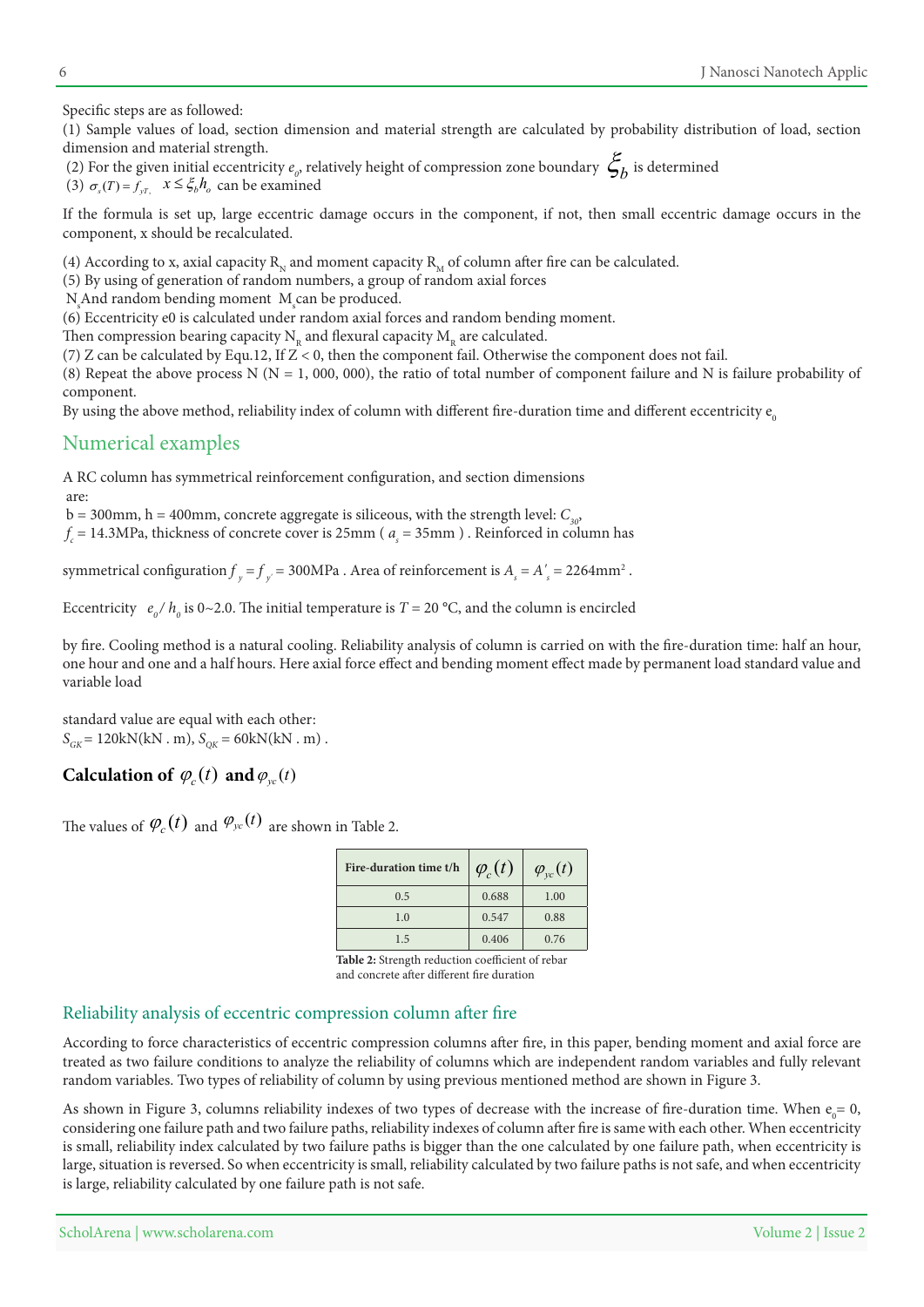Specific steps are as followed:

(1) Sample values of load, section dimension and material strength are calculated by probability distribution of load, section dimension and material strength.

(2) For the given initial eccentricity  $e_{\rho}$ , relatively height of compression zone boundary  $\mathcal{E}_{b}$  is determined (3)  $\sigma_s(T) = f_{yT}$ ,  $x \le \xi_b h_o$  can be examined

If the formula is set up, large eccentric damage occurs in the component, if not, then small eccentric damage occurs in the component, x should be recalculated.

(4) According to x, axial capacity  $R_N$  and moment capacity  $R_M$  of column after fire can be calculated.

 $(5)$  By using of generation of random numbers, a group of random axial forces

 $N_s$ And random bending moment  $M_s$ can be produced.

 $(6)$  Eccentricity e0 is calculated under random axial forces and random bending moment.

Then compression bearing capacity  $N_p$  and flexural capacity  $M_p$  are calculated.

(7) Z can be calculated by Equ.12, If  $Z < 0$ , then the component fail. Otherwise the component does not fail.

(8) Repeat the above process N (N = 1, 000, 000), the ratio of total number of component failure and N is failure probability of .component

By using the above method, reliability index of column with different fire-duration time and different eccentricity  $e_0$ 

# Numerical examples

A RC column has symmetrical reinforcement configuration, and section dimensions :are

 $b = 300$ mm,  $h = 400$ mm, concrete aggregate is siliceous, with the strength level:  $C_{30}$ ,

 $f_c$  = 14.3MPa, thickness of concrete cover is 25mm ( $a_s$  = 35mm). Reinforced in column has

symmetrical configuration  $f_y = f_{y'} = 300 \text{MPa}$  . Area of reinforcement is  $A_s = A_s' = 2264 \text{mm}^2$ .

Eccentricity  $e_o / h_o$  is 0~2.0. The initial temperature is *T* = 20 °C, and the column is encircled

by fire. Cooling method is a natural cooling. Reliability analysis of column is carried on with the fire-duration time: half an hour, one hour and one and a half hours. Here axial force effect and bending moment effect made by permanent load standard value and variable load

standard value are equal with each other:  $S_{CK} = 120$ kN(kN . m),  $S_{CK} = 60$ kN(kN . m).

# **Calculation of**  $\varphi_c(t)$  and  $\varphi_{yc}(t)$

The values of  $\varphi_c(t)$  and  $\varphi_{yc}(t)$  are shown in Table 2.

| Fire-duration time t/h | $\varphi_c(t)$ | $\varphi_{yc}(t)$ |
|------------------------|----------------|-------------------|
| 0.5                    | 0.688          | 1.00              |
| 1.0                    | 0.547          | 0.88              |
| 1.5                    | 0.406          | 0.76              |

Table 2: Strength reduction coefficient of rebar and concrete after different fire duration

### Reliability analysis of eccentric compression column after fire

According to force characteristics of eccentric compression columns after fire, in this paper, bending moment and axial force are treated as two failure conditions to analyze the reliability of columns which are independent random variables and fully relevant random variables. Two types of reliability of column by using previous mentioned method are shown in Figure 3.

As shown in Figure 3, columns reliability indexes of two types of decrease with the increase of fire-duration time. When  $e_0 = 0$ , considering one failure path and two failure paths, reliability indexes of column after fire is same with each other. When eccentricity is small, reliability index calculated by two failure paths is bigger than the one calculated by one failure path, when eccentricity is large, situation is reversed. So when eccentricity is small, reliability calculated by two failure paths is not safe, and when eccentricity is large, reliability calculated by one failure path is not safe.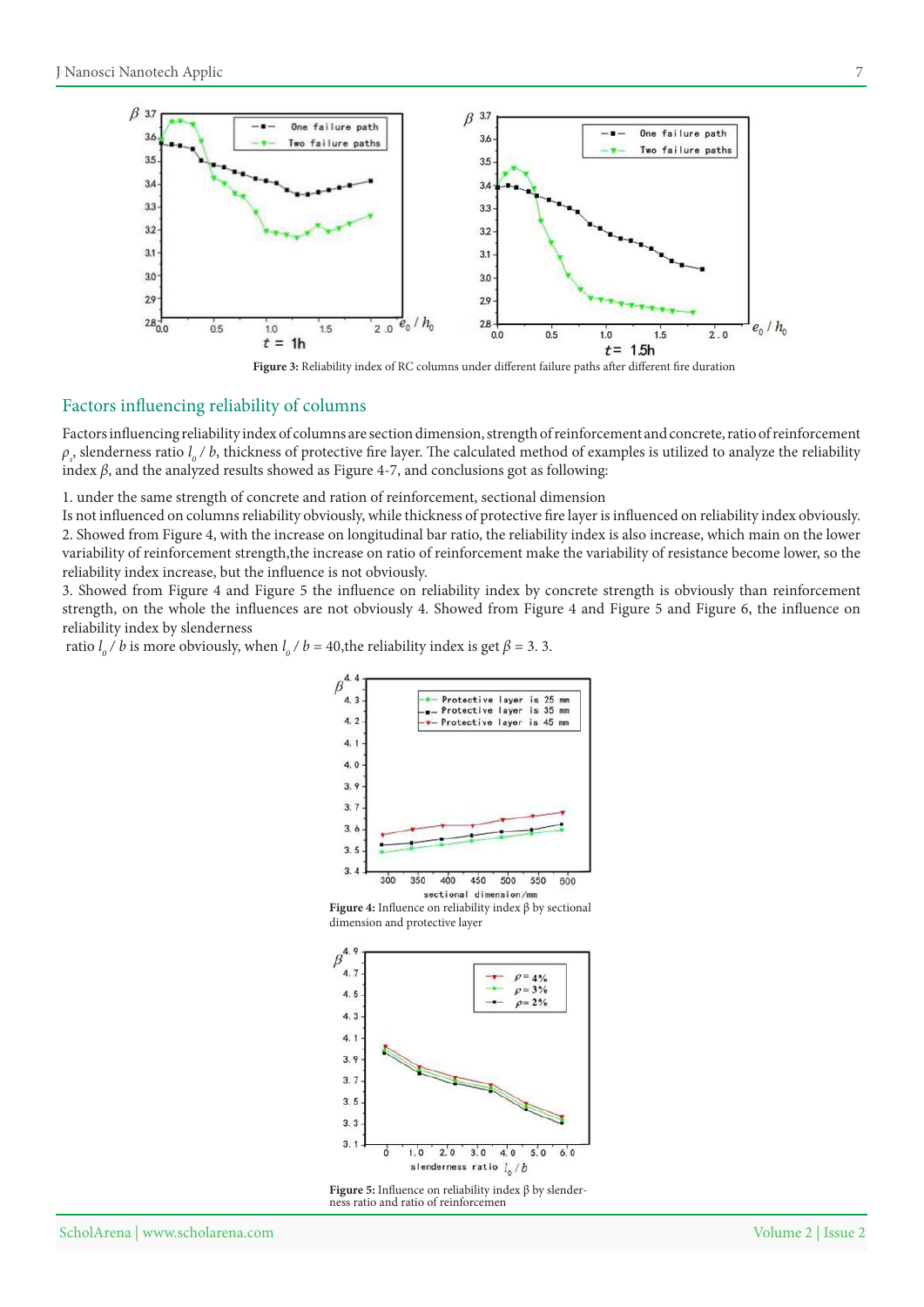



#### Factors influencing reliability of columns

Factors influencing reliability index of columns are section dimension, strength of reinforcement and concrete, ratio of reinforcement  $\rho_s$ , slenderness ratio  $l_o$  / *b*, thickness of protective fire layer. The calculated method of examples is utilized to analyze the reliability index  $β$ , and the analyzed results showed as Figure 4-7, and conclusions got as following:

1. under the same strength of concrete and ration of reinforcement, sectional dimension

Is not influenced on columns reliability obviously, while thickness of protective fire layer is influenced on reliability index obviously. 2. Showed from Figure 4, with the increase on longitudinal bar ratio, the reliability index is also increase, which main on the lower variability of reinforcement strength, the increase on ratio of reinforcement make the variability of resistance become lower, so the reliability index increase, but the influence is not obviously.

3. Showed from Figure 4 and Figure 5 the influence on reliability index by concrete strength is obviously than reinforcement strength, on the whole the influences are not obviously 4. Showed from Figure 4 and Figure 5 and Figure 6, the influence on reliability index by slenderness

ratio  $l_o / b$  is more obviously, when  $l_o / b = 40$ , the reliability index is get  $\beta = 3.3$ .







**Figure 5:** Influence on reliability index β by slenderness ratio and ratio of reinforcemen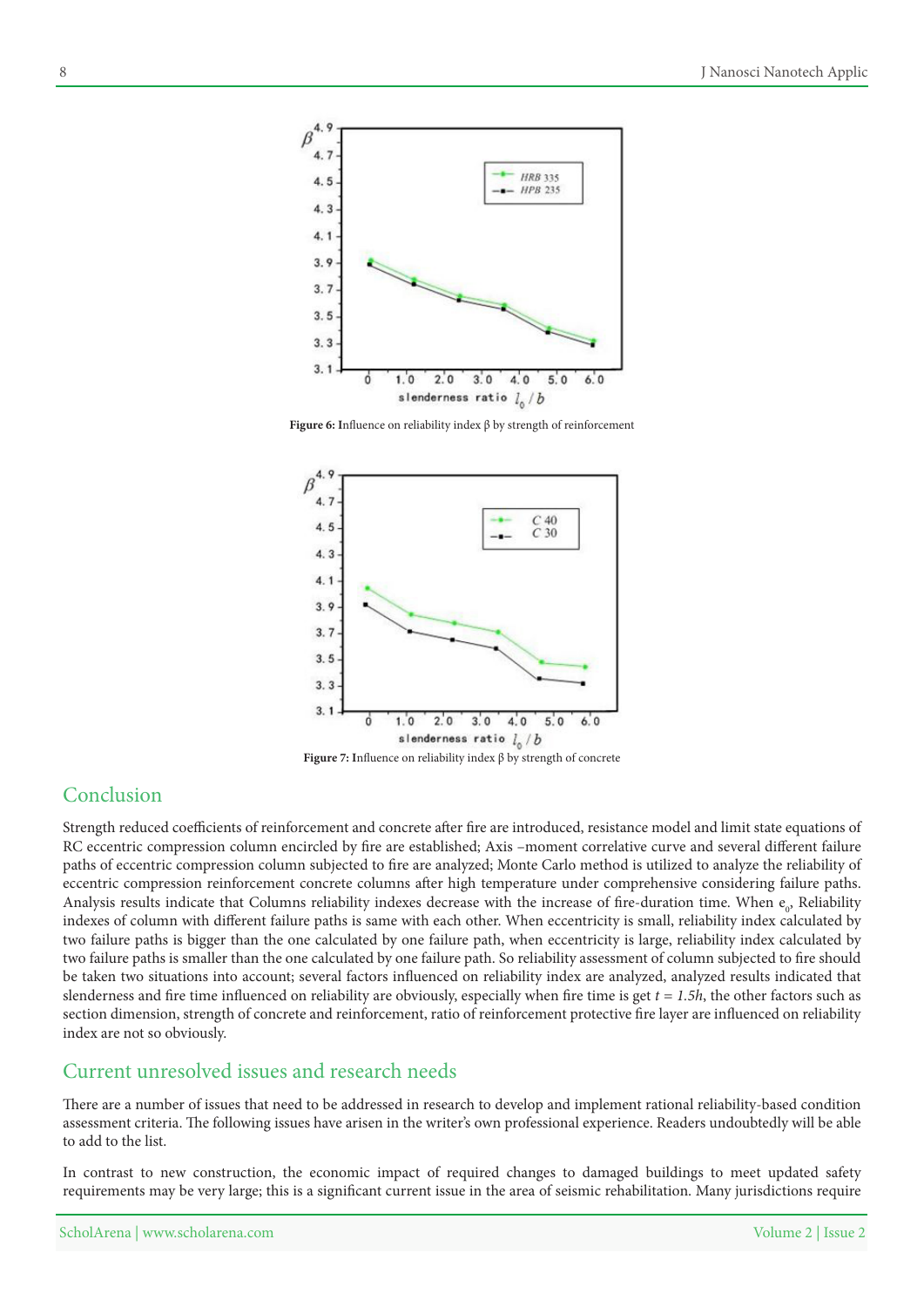

Figure 6: Influence on reliability index β by strength of reinforcement



Figure 7: Influence on reliability index β by strength of concrete

# Conclusion

Strength reduced coefficients of reinforcement and concrete after fire are introduced, resistance model and limit state equations of RC eccentric compression column encircled by fire are established; Axis -moment correlative curve and several different failure paths of eccentric compression column subjected to fire are analyzed; Monte Carlo method is utilized to analyze the reliability of eccentric compression reinforcement concrete columns after high temperature under comprehensive considering failure paths. Analysis results indicate that Columns reliability indexes decrease with the increase of fire-duration time. When  $e_o$ , Reliability indexes of column with different failure paths is same with each other. When eccentricity is small, reliability index calculated by two failure paths is bigger than the one calculated by one failure path, when eccentricity is large, reliability index calculated by two failure paths is smaller than the one calculated by one failure path. So reliability assessment of column subjected to fire should be taken two situations into account; several factors influenced on reliability index are analyzed, analyzed results indicated that slenderness and fire time influenced on reliability are obviously, especially when fire time is get  $t = 1.5h$ , the other factors such as section dimension, strength of concrete and reinforcement, ratio of reinforcement protective fire layer are influenced on reliability index are not so obviously.

### Current unresolved issues and research needs

There are a number of issues that need to be addressed in research to develop and implement rational reliability-based condition assessment criteria. The following issues have arisen in the writer's own professional experience. Readers undoubtedly will be able to add to the list.

In contrast to new construction, the economic impact of required changes to damaged buildings to meet updated safety requirements may be very large; this is a significant current issue in the area of seismic rehabilitation. Many jurisdictions require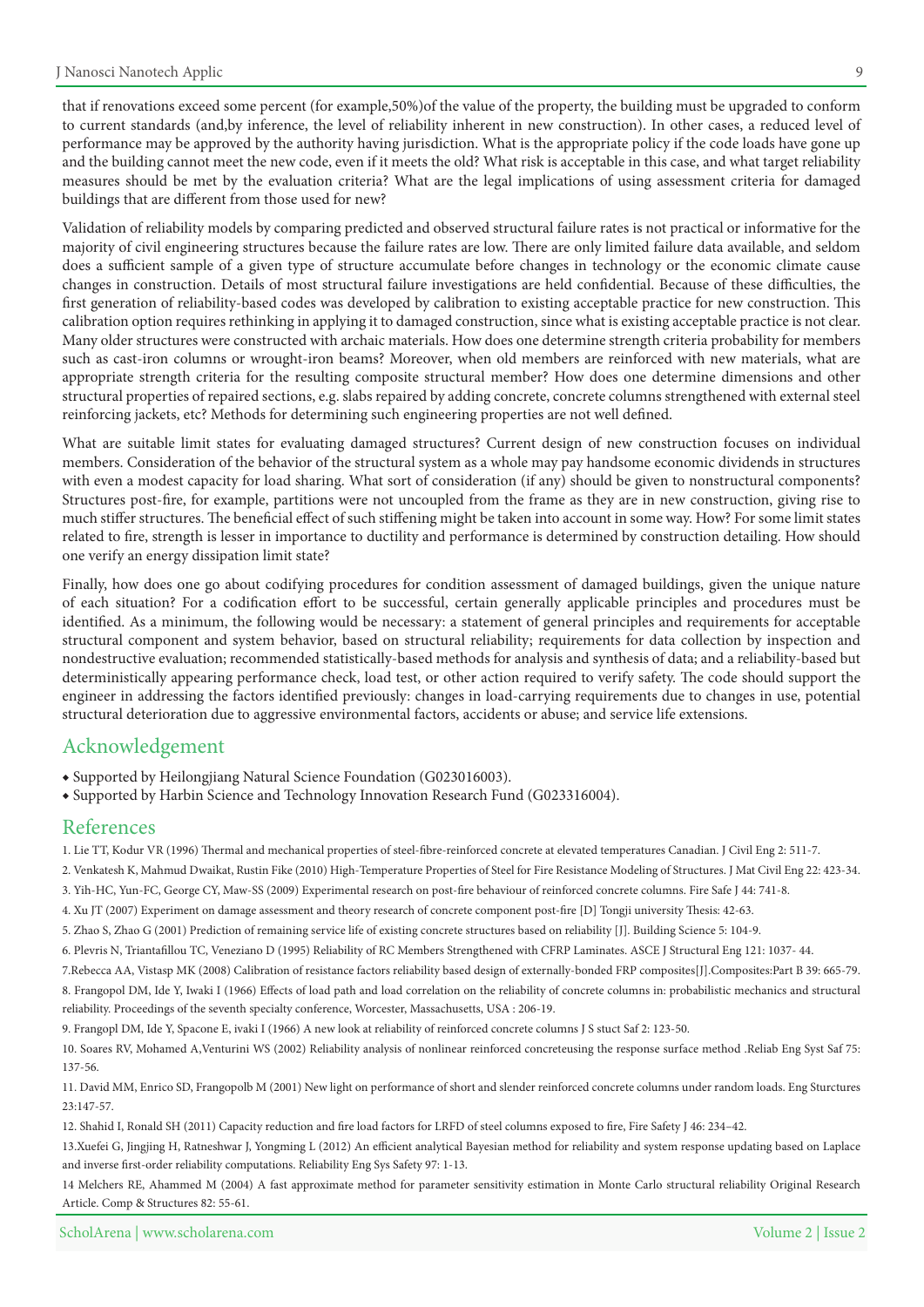that if renovations exceed some percent (for example,50%) of the value of the property, the building must be upgraded to conform to current standards (and,by inference, the level of reliability inherent in new construction). In other cases, a reduced level of performance may be approved by the authority having jurisdiction. What is the appropriate policy if the code loads have gone up and the building cannot meet the new code, even if it meets the old? What risk is acceptable in this case, and what target reliability measures should be met by the evaluation criteria? What are the legal implications of using assessment criteria for damaged buildings that are different from those used for new?

Validation of reliability models by comparing predicted and observed structural failure rates is not practical or informative for the majority of civil engineering structures because the failure rates are low. There are only limited failure data available, and seldom does a sufficient sample of a given type of structure accumulate before changes in technology or the economic climate cause changes in construction. Details of most structural failure investigations are held confidential. Because of these difficulties, the first generation of reliability-based codes was developed by calibration to existing acceptable practice for new construction. This calibration option requires rethinking in applying it to damaged construction, since what is existing acceptable practice is not clear. Many older structures were constructed with archaic materials. How does one determine strength criteria probability for members such as cast-iron columns or wrought-iron beams? Moreover, when old members are reinforced with new materials, what are appropriate strength criteria for the resulting composite structural member? How does one determine dimensions and other structural properties of repaired sections, e.g. slabs repaired by adding concrete, concrete columns strengthened with external steel reinforcing jackets, etc? Methods for determining such engineering properties are not well defined.

What are suitable limit states for evaluating damaged structures? Current design of new construction focuses on individual members. Consideration of the behavior of the structural system as a whole may pay handsome economic dividends in structures with even a modest capacity for load sharing. What sort of consideration (if any) should be given to nonstructural components? Structures post-fire, for example, partitions were not uncoupled from the frame as they are in new construction, giving rise to much stiffer structures. The beneficial effect of such stiffening might be taken into account in some way. How? For some limit states related to fire, strength is lesser in importance to ductility and performance is determined by construction detailing. How should one verify an energy dissipation limit state?

Finally, how does one go about codifying procedures for condition assessment of damaged buildings, given the unique nature of each situation? For a codification effort to be successful, certain generally applicable principles and procedures must be identified. As a minimum, the following would be necessary: a statement of general principles and requirements for acceptable structural component and system behavior, based on structural reliability; requirements for data collection by inspection and nondestructive evaluation; recommended statistically-based methods for analysis and synthesis of data; and a reliability-based but deterministically appearing performance check, load test, or other action required to verify safety. The code should support the engineer in addressing the factors identified previously: changes in load-carrying requirements due to changes in use, potential structural deterioration due to aggressive environmental factors, accidents or abuse; and service life extensions.

### Acknowledgement

◆ Supported by Heilongjiang Natural Science Foundation (G023016003).

◆ Supported by Harbin Science and Technology Innovation Research Fund (G023316004).

#### References

1. Lie TT, Kodur VR (1996) Thermal and mechanical properties of steel-fibre-reinforced concrete at elevated temperatures Canadian. J Civil Eng 2: 511-7.

- 2. Venkatesh K, Mahmud Dwaikat, Rustin Fike (2010) High-Temperature Properties of Steel for Fire Resistance Modeling of Structures. J Mat Civil Eng 22: 423-34.
- 3. Yih-HC, Yun-FC, George CY, Maw-SS (2009) Experimental research on post-fire behaviour of reinforced concrete columns. Fire Safe J 44: 741-8.
- 4. Xu JT (2007) Experiment on damage assessment and theory research of concrete component post-fire [D] Tongji university Thesis: 42-63.
- 5. Zhao S, Zhao G (2001) Prediction of remaining service life of existing concrete structures based on reliability [J]. Building Science 5: 104-9.

6. Plevris N, Triantafillou TC, Veneziano D (1995) Reliability of RC Members Strengthened with CFRP Laminates. ASCE J Structural Eng 121: 1037-44.

7. Rebecca AA, Vistasp MK (2008) Calibration of resistance factors reliability based design of externally-bonded FRP composites [J]. Composites: Part B 39: 665-79. 8. Frangopol DM, Ide Y, Iwaki I (1966) Effects of load path and load correlation on the reliability of concrete columns in: probabilistic mechanics and structural

reliability. Proceedings of the seventh specialty conference, Worcester, Massachusetts, USA : 206-19. 9. Frangopl DM, Ide Y, Spacone E, ivaki I (1966) A new look at reliability of reinforced concrete columns J S stuct Saf 2: 123-50.

10. Soares RV, Mohamed A, Venturini WS (2002) Reliability analysis of nonlinear reinforced concreteusing the response surface method .Reliab Eng Syst Saf 75: 137-56.

11. David MM, Enrico SD, Frangopolb M (2001) New light on performance of short and slender reinforced concrete columns under random loads. Eng Sturctures 23:147-57.

12. Shahid I, Ronald SH (2011) Capacity reduction and fire load factors for LRFD of steel columns exposed to fire, Fire Safety J 46: 234-42.

13.Xuefei G, Jingjing H, Ratneshwar J, Yongming L (2012) An efficient analytical Bayesian method for reliability and system response updating based on Laplace and inverse first-order reliability computations. Reliability Eng Sys Safety 97: 1-13.

14 Melchers RE, Ahammed M (2004) A fast approximate method for parameter sensitivity estimation in Monte Carlo structural reliability Original Research Article. Comp & Structures 82: 55-61.